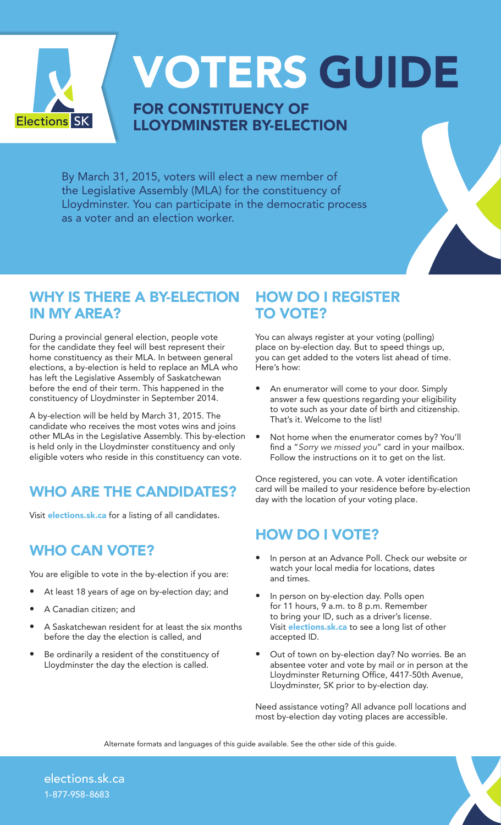

VOTERS GUIDE

## FOR CONSTITUENCY OF LLOYDMINSTER BY-ELECTION

By March 31, 2015, voters will elect a new member of the Legislative Assembly (MLA) for the constituency of Lloydminster. You can participate in the democratic process as a voter and an election worker.

## WHY IS THERE A BY-ELECTION IN MY AREA?

During a provincial general election, people vote for the candidate they feel will best represent their home constituency as their MLA. In between general elections, a by-election is held to replace an MLA who has left the Legislative Assembly of Saskatchewan before the end of their term. This happened in the constituency of Lloydminster in September 2014.

A by-election will be held by March 31, 2015. The candidate who receives the most votes wins and joins other MLAs in the Legislative Assembly. This by-election is held only in the Lloydminster constituency and only eligible voters who reside in this constituency can vote.

# WHO ARE THE CANDIDATES?

Visit **elections.sk.ca** for a listing of all candidates.

# WHO CAN VOTE?

You are eligible to vote in the by-election if you are:

- At least 18 years of age on by-election day; and
- A Canadian citizen; and
- A Saskatchewan resident for at least the six months before the day the election is called, and
- Be ordinarily a resident of the constituency of Lloydminster the day the election is called.

#### HOW DO I REGISTER TO VOTE?

You can always register at your voting (polling) place on by-election day. But to speed things up, you can get added to the voters list ahead of time. Here's how:

- An enumerator will come to your door. Simply answer a few questions regarding your eligibility to vote such as your date of birth and citizenship. That's it. Welcome to the list!
- Not home when the enumerator comes by? You'll find a "*Sorry we missed you*" card in your mailbox. Follow the instructions on it to get on the list.

Once registered, you can vote. A voter identification card will be mailed to your residence before by-election day with the location of your voting place.

#### HOW DO I VOTE?

- In person at an Advance Poll. Check our website or watch your local media for locations, dates and times.
- In person on by-election day. Polls open for 11 hours, 9 a.m. to 8 p.m. Remember to bring your ID, such as a driver's license. Visit **elections.sk.ca** to see a long list of other accepted ID.
- Out of town on by-election day? No worries. Be an absentee voter and vote by mail or in person at the Lloydminster Returning Office, 4417-50th Avenue, Lloydminster, SK prior to by-election day.

Need assistance voting? All advance poll locations and most by-election day voting places are accessible.

Alternate formats and languages of this guide available. See the other side of this guide.

elections.sk.ca 1-877-958-8683